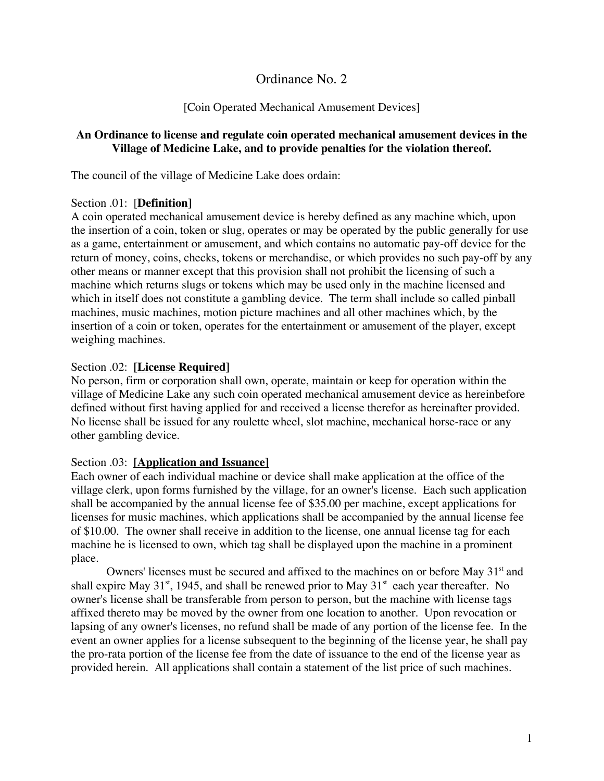# Ordinance No. 2

#### [Coin Operated Mechanical Amusement Devices]

#### **An Ordinance to license and regulate coin operated mechanical amusement devices in the Village of Medicine Lake, and to provide penalties for the violation thereof.**

The council of the village of Medicine Lake does ordain:

#### Section .01: [**Definition]**

A coin operated mechanical amusement device is hereby defined as any machine which, upon the insertion of a coin, token or slug, operates or may be operated by the public generally for use as a game, entertainment or amusement, and which contains no automatic pay-off device for the return of money, coins, checks, tokens or merchandise, or which provides no such pay-off by any other means or manner except that this provision shall not prohibit the licensing of such a machine which returns slugs or tokens which may be used only in the machine licensed and which in itself does not constitute a gambling device. The term shall include so called pinball machines, music machines, motion picture machines and all other machines which, by the insertion of a coin or token, operates for the entertainment or amusement of the player, except weighing machines.

#### Section .02: **[License Required]**

No person, firm or corporation shall own, operate, maintain or keep for operation within the village of Medicine Lake any such coin operated mechanical amusement device as hereinbefore defined without first having applied for and received a license therefor as hereinafter provided. No license shall be issued for any roulette wheel, slot machine, mechanical horse-race or any other gambling device.

#### Section .03: **[Application and Issuance]**

Each owner of each individual machine or device shall make application at the office of the village clerk, upon forms furnished by the village, for an owner's license. Each such application shall be accompanied by the annual license fee of \$35.00 per machine, except applications for licenses for music machines, which applications shall be accompanied by the annual license fee of \$10.00. The owner shall receive in addition to the license, one annual license tag for each machine he is licensed to own, which tag shall be displayed upon the machine in a prominent place.

Owners' licenses must be secured and affixed to the machines on or before May 31<sup>st</sup> and shall expire May 31<sup>st</sup>, 1945, and shall be renewed prior to May 31<sup>st</sup> each year thereafter. No owner's license shall be transferable from person to person, but the machine with license tags affixed thereto may be moved by the owner from one location to another. Upon revocation or lapsing of any owner's licenses, no refund shall be made of any portion of the license fee. In the event an owner applies for a license subsequent to the beginning of the license year, he shall pay the pro-rata portion of the license fee from the date of issuance to the end of the license year as provided herein. All applications shall contain a statement of the list price of such machines.